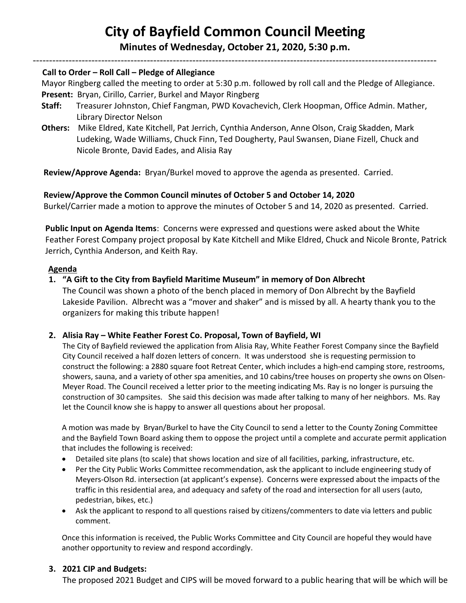# **City of Bayfield Common Council Meeting**

**Minutes of Wednesday, October 21, 2020, 5:30 p.m.**  ----------------------------------------------------------------------------------------------------------------------------

#### **Call to Order – Roll Call – Pledge of Allegiance**

 Mayor Ringberg called the meeting to order at 5:30 p.m. followed by roll call and the Pledge of Allegiance.  **Present:** Bryan, Cirillo, Carrier, Burkel and Mayor Ringberg

- **Staff:** Treasurer Johnston, Chief Fangman, PWD Kovachevich, Clerk Hoopman, Office Admin. Mather, Library Director Nelson
- **Others:** Mike Eldred, Kate Kitchell, Pat Jerrich, Cynthia Anderson, Anne Olson, Craig Skadden, Mark Ludeking, Wade Williams, Chuck Finn, Ted Dougherty, Paul Swansen, Diane Fizell, Chuck and Nicole Bronte, David Eades, and Alisia Ray

**Review/Approve Agenda:** Bryan/Burkel moved to approve the agenda as presented. Carried.

#### **Review/Approve the Common Council minutes of October 5 and October 14, 2020**

Burkel/Carrier made a motion to approve the minutes of October 5 and 14, 2020 as presented. Carried.

**Public Input on Agenda Items**: Concerns were expressed and questions were asked about the White Feather Forest Company project proposal by Kate Kitchell and Mike Eldred, Chuck and Nicole Bronte, Patrick Jerrich, Cynthia Anderson, and Keith Ray.

#### **Agenda**

## **1. "A Gift to the City from Bayfield Maritime Museum" in memory of Don Albrecht**

The Council was shown a photo of the bench placed in memory of Don Albrecht by the Bayfield Lakeside Pavilion. Albrecht was a "mover and shaker" and is missed by all. A hearty thank you to the organizers for making this tribute happen!

#### **2. Alisia Ray – White Feather Forest Co. Proposal, Town of Bayfield, WI**

The City of Bayfield reviewed the application from Alisia Ray, White Feather Forest Company since the Bayfield City Council received a half dozen letters of concern. It was understood she is requesting permission to construct the following: a 2880 square foot Retreat Center, which includes a high-end camping store, restrooms, showers, sauna, and a variety of other spa amenities, and 10 cabins/tree houses on property she owns on Olsen-Meyer Road. The Council received a letter prior to the meeting indicating Ms. Ray is no longer is pursuing the construction of 30 campsites. She said this decision was made after talking to many of her neighbors. Ms. Ray let the Council know she is happy to answer all questions about her proposal.

A motion was made by Bryan/Burkel to have the City Council to send a letter to the County Zoning Committee and the Bayfield Town Board asking them to oppose the project until a complete and accurate permit application that includes the following is received:

- Detailed site plans (to scale) that shows location and size of all facilities, parking, infrastructure, etc.
- Per the City Public Works Committee recommendation, ask the applicant to include engineering study of Meyers-Olson Rd. intersection (at applicant's expense). Concerns were expressed about the impacts of the traffic in this residential area, and adequacy and safety of the road and intersection for all users (auto, pedestrian, bikes, etc.)
- Ask the applicant to respond to all questions raised by citizens/commenters to date via letters and public comment.

Once this information is received, the Public Works Committee and City Council are hopeful they would have another opportunity to review and respond accordingly.

#### **3. 2021 CIP and Budgets:**

The proposed 2021 Budget and CIPS will be moved forward to a public hearing that will be which will be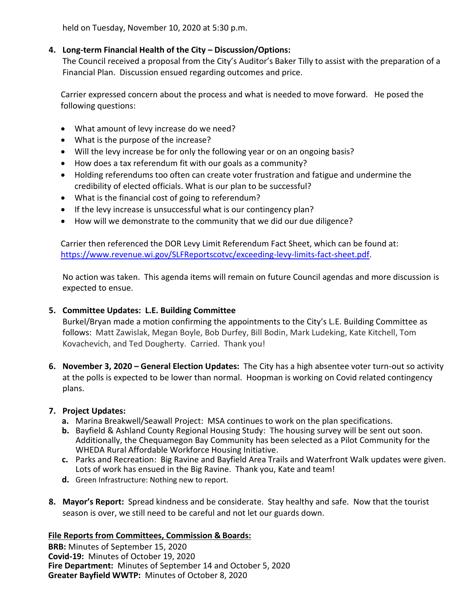held on Tuesday, November 10, 2020 at 5:30 p.m.

## **4. Long-term Financial Health of the City – Discussion/Options:**

The Council received a proposal from the City's Auditor's Baker Tilly to assist with the preparation of a Financial Plan. Discussion ensued regarding outcomes and price.

Carrier expressed concern about the process and what is needed to move forward. He posed the following questions:

- What amount of levy increase do we need?
- What is the purpose of the increase?
- Will the levy increase be for only the following year or on an ongoing basis?
- How does a tax referendum fit with our goals as a community?
- Holding referendums too often can create voter frustration and fatigue and undermine the credibility of elected officials. What is our plan to be successful?
- What is the financial cost of going to referendum?
- If the levy increase is unsuccessful what is our contingency plan?
- How will we demonstrate to the community that we did our due diligence?

Carrier then referenced the DOR Levy Limit Referendum Fact Sheet, which can be found at: [https://www.revenue.wi.gov/SLFReportscotvc/exceeding-levy-limits-fact-sheet.pdf.](https://www.revenue.wi.gov/SLFReportscotvc/exceeding-levy-limits-fact-sheet.pdf)

No action was taken. This agenda items will remain on future Council agendas and more discussion is expected to ensue.

## **5. Committee Updates: L.E. Building Committee**

Burkel/Bryan made a motion confirming the appointments to the City's L.E. Building Committee as follows: Matt Zawislak, Megan Boyle, Bob Durfey, Bill Bodin, Mark Ludeking, Kate Kitchell, Tom Kovachevich, and Ted Dougherty. Carried. Thank you!

**6. November 3, 2020 – General Election Updates:** The City has a high absentee voter turn-out so activity at the polls is expected to be lower than normal. Hoopman is working on Covid related contingency plans.

## **7. Project Updates:**

- **a.** Marina Breakwell/Seawall Project: MSA continues to work on the plan specifications.
- **b.** Bayfield & Ashland County Regional Housing Study: The housing survey will be sent out soon. Additionally, the Chequamegon Bay Community has been selected as a Pilot Community for the WHEDA Rural Affordable Workforce Housing Initiative.
- **c.** Parks and Recreation: Big Ravine and Bayfield Area Trails and Waterfront Walk updates were given. Lots of work has ensued in the Big Ravine. Thank you, Kate and team!
- **d.** Green Infrastructure: Nothing new to report.
- **8. Mayor's Report:** Spread kindness and be considerate. Stay healthy and safe. Now that the tourist season is over, we still need to be careful and not let our guards down.

## **File Reports from Committees, Commission & Boards:**

**BRB:** Minutes of September 15, 2020 **Covid-19:** Minutes of October 19, 2020 **Fire Department:** Minutes of September 14 and October 5, 2020 **Greater Bayfield WWTP:** Minutes of October 8, 2020